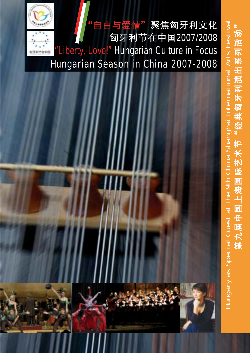# 由与爱情"聚焦匈牙利文化 匈牙利节在中国2007/2008 "Liberty, Love!" Hungarian Culture in Focus Hungarian Season in China 2007-2008





Hungary as Special Guest at the 9th China Shanghai International Arts Festival

Hungary as Special Guest at the 9th China Shanghai International Arts Festival

第九届中国上海国际艺术节"经典匈牙利演出系列活动"

第九届中国上海国际艺才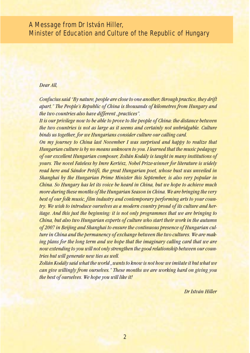### A Message from Dr István Hiller, Minister of Education and Culture of the Republic of Hungary

#### *Dear All,*

*Confucius said "By nature, people are close to one another; through practice, they drift apart." The People's Republic of China is thousands of kilometres from Hungary and the two countries also have different "practices".*

*It is our privilege now to be able to prove to the people of China: the distance between the two countries is not as large as it seems and certainly not unbridgable. Culture binds us together, for we Hungarians consider culture our calling card.*

*On my journey to China last November I was surprised and happy to realize that Hungarian culture is by no means unknown to you. I learned that the music pedagogy of our excellent Hungarian composer, Zoltán Kodály is taught in many institutions of yours. The novel Fateless by Imre Kertész, Nobel Prize-winner for literature is widely read here and Sándor Petőfi, the great Hungarian poet, whose bust was unveiled in Shanghai by the Hungarian Prime Minister this September, is also very popular in China. So Hungary has let its voice be heard in China, but we hope to achieve much more during these months of the Hungarian Season in China. We are bringing the very best of our folk music, film industry and contemporary performing arts to your country. We wish to introduce ourselves as a modern country proud of its culture and heritage. And this just the beginning: it is not only programmes that we are bringing to China, but also two Hungarian experts of culture who start their work in the autumn of 2007 in Beijing and Shanghai to ensure the continuous presence of Hungarian culture in China and the permanency of exchange between the two cultures. We are making plans for the long term and we hope that the imaginary calling card that we are now extending to you will not only strengthen the good relationship between our countries but will generate new ties as well.*

*Zoltán Kodály said what the world "wants to know is not how we imitate it but what we can give willingly from ourselves." These months we are working hard on giving you the best of ourselves. We hope you will like it!*

*Dr István Hiller*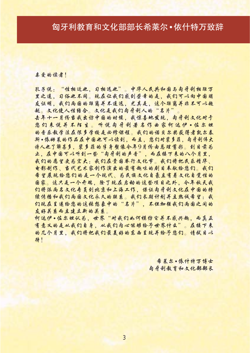### 匈牙利教育和文化部部长希莱尔•依什特万致辞

#### 嘉爱的读者!

孔子说:"性相近也,习相远也"。中华人民共和国与匈牙利相距万 里之遥、习俗也不同。现在让我们感到荣幸的是,我们可以向中国朋 友证明,我们两国的距离并不遥远,尤其是,这个距离并非不可以超 越。文化使人性结合。文化是我们匈牙利人的"名片"。

去年十一月份当我出访中国的时候,我惊喜地发现,匈牙利文化对于 您们来说并不陌生。听说匈牙利著名作曲家柯达伊•佐尔坦 的音乐教学法在很多学校是必修课程。我们的诺贝尔奖获得者凯尔泰 斯•像姆莱的作品在中国也可以读到,而且,您们对襞多菲,匈牙利伟大 诗人也了解甚多,裴多蒎的律身塑像令年9月份由总理剪彩。到目前为 止,在中国可以听到一些"匈牙利的声音",而在接下来的八个月里, 我们的愿望更为宏大:我们在贵国举行文化节。我们将把民乐精华、 电影制作、当代艺术家创作演出的最有趣味的剧目奉献给您们。我们 希望展现给您们的是一个现代、为民族文化自豪且有着文化自觉性的 固家。这只是一个开端,除了现在启动的这些项目之外,今年秋天我 们将派雨名文化专员到北京和上海工作。保证匈牙利文化在中国的持 猿传播和我们两国文化永久的联系。我们长期计划并且热诚希望:我 们现在呈递给您的这税想象中的"名片",不但加强我们两国之间的 友好关系而且建立新的关系。

柯达伊•佐尔坦认为,世界"对我们此何模仿它并不感兴趣,而真正 有意义的是从我们自身,从我们自心能够给予世界什么"。在接下来 的几个月里,我们将把我们最差好的东西呈现并给平您们。请拭目以 待!

> 希莱尔·像什特万博士 南牙利教育和文化部部长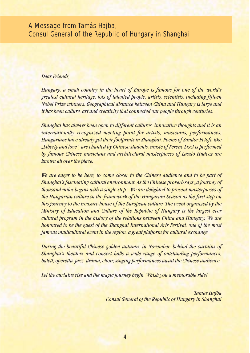### A Message from Tamás Hajba, Consul General of the Republic of Hungary in Shanghai

#### *Dear Friends,*

*Hungary, a small country in the heart of Europe is famous for one of the world's greatest cultural heritage, lots of talented people, artists, scientists, including fifteen Nobel Prize winners. Geographical distance between China and Hungary is large and it has been culture, art and creativity that connected our people through centuries.* 

*Shanghai has always been open to different cultures, innovative thoughts and it is an internationally recognized meeting point for artists, musicians, performances. Hungarians have already got their footprints in Shanghai. Poems of Sándor Petőfi, like "Liberty and love", are chanted by Chinese students, music of Ferenc Liszt is performed by famous Chinese musicians and architectural masterpieces of László Hudecz are known all over the place.* 

*We are eager to be here, to come closer to the Chinese audience and to be part of Shanghai's fascinating cultural environment. As the Chinese proverb says "a journey of thousand miles begins with a single step". We are delighted to present masterpieces of the Hungarian culture in the framework of the Hungarian Season as the first step on this journey to the treasure-house of the European culture. The event organized by the Ministry of Education and Culture of the Republic of Hungary is the largest ever cultural program in the history of the relations between China and Hungary. We are honoured to be the guest of the Shanghai International Arts Festival, one of the most famous multicultural event in the region, a great platform for cultural exchange.* 

*During the beautiful Chinese golden autumn, in November, behind the curtains of Shanghai's theaters and concert halls a wide range of outstanding performances, balett, operetta, jazz, drama, choir, singing performances await the Chinese audience.*

*Let the curtains rise and the magic journey begin. Whish you a memorable ride!*

*Tamás Hajba Consul General of the Republic of Hungary in Shanghai*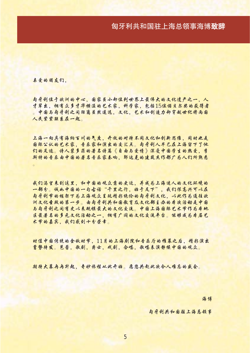### 匈牙利共和国驻上海总领事海博致辞

嘉爱的朋友们,

高牙利位于欧洲的中心,国家虽小却位列世界上最伟大的文化遗产之一,人 才辈出,拥有众多才华横溢的艺术家,科学家,包括15位诺贝尔奖的获得者 。中国与匈牙利之间距离虽然遥远,文化,艺术和创造力却穿越世纪将两国 人民紧紧联系在一起。

上海一向具有海纳百川的气度,开放的对待不同文化和创新思维,同时也是 国际公认的艺术家,音乐家和演出的交汇点。匈牙利人早已在上海留下了他 们的足迹。诗人夔多菔的著名诗篇《自由与爱情》深受中国学生的热爱,孝 斯特的音乐由中国的著名音乐家奏响,邬达克的建筑走作都广为人们所熟悉

我们渴望来到这里,和中国的观众靠的更近,并成为上海迷人的文化环境的 一部分。诚此中国的一句古话"千里之行,始于足下",我们很高兴可以在 南牙利爷的框架下为上海观众呈现精彩绝伦的匈牙利文化,以此作为通往欧 洲文化垂殿的第一步。由匈牙利共和国教育及文化部主办的牵次活动是中国 与匈牙利之间有史以来规模最大的文化交流。中国上海国际艺术节作为库地 区最著名的多元文化活动之一,拥有广阔的文化交流平台。能够成为库届艺 术爷的嘉宾,我们感到十分荣幸。

时值中国传统的金秋时节,11月的上海剧院和音乐厅的帷幕之后,精彩演出 蓄势待发。芭蕾,歌剧,爵士,找剧,合唱,歌唱表演静候中国的观众。

期待大慕冉冉升起,奇眇旅程从此开始。愿您共赴此次今人难忘的威会。

海博

匈牙利共和国驻上海总领事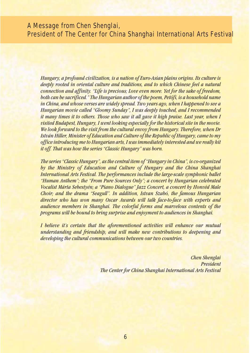### A Message from Chen Shenglai, President of The Center for China Shanghai International Arts Festival

*Hungary, a profound civilization, is a nation of Euro-Asian plains origins. Its culture is deeply rooted in oriental culture and traditions, and to which Chinese feel a natural connection and affinity. "Life is precious; Love even more. Yet for the sake of freedom, both can be sacrificed." The Hungarian author of the poem, Petőfi, is a household name in China, and whose verses are widely spread. Two years ago, when I happened to see a Hungarian movie called "Gloomy Sunday", I was deeply touched, and I recommended it many times it to others. Those who saw it all gave it high praise. Last year, when I visited Budapest, Hungary, I went looking especially for the historical site in the movie. We look forward to the visit from the cultural envoy from Hungary. Therefore, when Dr István Hiller, Minister of Education and Culture of the Republic of Hungary, came to my office introducing me to Hungarian arts, I was immediately interested and we really hit it off. That was how the series "Classic Hungary" was born.*

*The series "Classic Hungary", as the central item of "Hungary in China", is co-organized by the Ministry of Education and Culture of Hungary and the China Shanghai International Arts Festival. The performances include the large-scale symphonic ballet "Human Anthem"; the "From Pure Sources Only"; a concert by Hungarian celebrated Vocalist Márta Sebestyén; a "Piano Dialogue" Jazz Concert, a concert by Honvéd Male Choir; and the drama "Seagull". In addition, Istvan Szabó, the famous Hungarian director who has won many Oscar Awards will talk face-to-face with experts and audience members in Shanghai. The colorful forms and marvelous contents of the programs will be bound to bring surprise and enjoyment to audiences in Shanghai.*

*I believe it's certain that the aforementioned activities will enhance our mutual understanding and friendship, and will make new contributions to deepening and developing the cultural communications between our two countries.*

> *Chen Shenglai President The Center for China Shanghai International Arts Festival*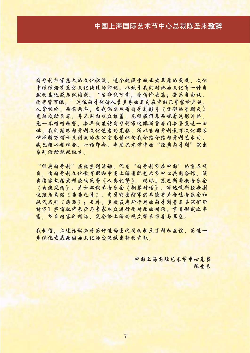### 中国上海国际艺术节中心总裁陈圣来致辞

匈牙利拥有悠久的文化积淀。这个起源于欧亚大草原的民族。文化 中深深焙有东方文化传统的印记,以致干我们对她的文化有一种自 然的喜近感与认同感。"生命诚可贵,爱情价更高;若为自由故, 两者皆可抛。"这位匈牙利诗人裴多参的名句在中国几乎家喻户晚。 人皆能吟。而箭雨年,当我偶尔观看向牙利影片《忧郁的星期天》 竟然感动至深,并不断向观众推荐,凡经我推荐而观看这影片的。 无一不喷喷称赞,去年我造访匈牙利布达佩斯曾专门去寻觅这一旧 址。我们期盼向牙利文化使者的光临。所以当向牙利教育文化部长 伊斯特万博士来到我的办公室忘情地向我介绍介绍匈牙利艺术时。 我已经心领神会、一拍即合, 在届艺术爷中的"经典匈牙利"演出 系列活动就此诞生。

"经典匈牙利"演出系列活动,作为"匈牙利节在中国"的重点项 目,由匈牙利文化教育部和中国上海国际艺术爷中心共同合作,演 出肉容包括大型交响芭蕾《人类礼替》、玛塔1 塞巴斯蒂安音乐会 《云淡风清》、爵士双钢琴音乐会《钢琴对话》、布达佩斯轻歌剧 这段与舞蹈《茜茜之乘》、匈牙利国防军洪韦德男声合唱音乐会和 现代名剧《海鸥》;另外,多次获奥斯卡奖的匈牙利著名导演伊斯 特万1 萨博也将来沪与专家观众进行面对面的对话,节目形式之丰 富,节目内容之精湛,定会给上海的观众带来惊喜与享受。

我相信,上述活动必将为增进两国之间的相互了解和友谊,为进一 步深化发展雨围的文化的交流做出新的贡献。

> 中国上海国际艺术节中心总裁 陈帝来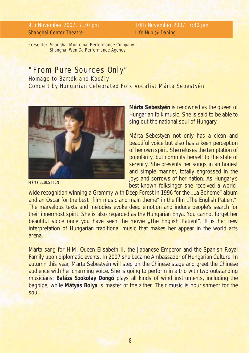Shanghai Center Theatre **Life Hub @ Daning** 

9th November 2007, 7.30 pm 10th November 2007, 7:30 pm

Presenter: Shanghai Municipal Performance Company Shanghai Wen Da Performance Agency

### *"From Pure Sources Only"*

Homage to Bartók and Kodály Concert by Hungarian Celebrated Folk Vocalist Márta Sebestyén



Márta SEBESTYÉN

**Márta Sebestyén** is renowned as the queen of Hungarian folk music. She is said to be able to sing out the national soul of Hungary.

Márta Sebestyén not only has a clean and beautiful voice but also has a keen perception of her own spirit. She refuses the temptation of popularity, but commits herself to the state of serenity. She presents her songs in an honest and simple manner, totally engrossed in the joys and sorrows of her nation. As Hungary's best-known folksinger she received a world-

wide recognition winning a Grammy with Deep Forest in 1996 for the "La Boheme" album and an Oscar for the best "film music and main theme" in the film "The English Patient". The marvelous texts and melodies evoke deep emotion and induce people's search for their innermost spirit. She is also regarded as the Hungarian Enya. You cannot forget her beautiful voice once you have seen the movie "The English Patient". It is her new interpretation of Hungarian traditional music that makes her appear in the world arts arena.

Márta sang for H.M. Queen Elisabeth II, the Japanese Emperor and the Spanish Royal Family upon diplomatic events. In 2007 she became Ambassador of Hungarian Culture. In autumn this year, Márta Sebestyén will step on the Chinese stage and greet the Chinese audience with her charming voice. She is going to perform in a trio with two outstanding musicians: **Balázs Szokolay Dongó** plays all kinds of wind instruments, including the bagpipe, while **Mátyás Bolya** is master of the zither. Their music is nourishment for the soul.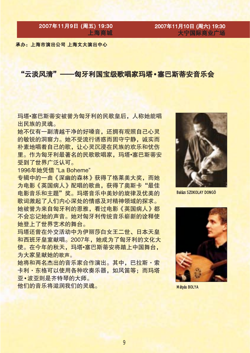2007年11月9日 (周五) 19:30 上海商城

2007年11月10日 (周六) 19:30 大宁国际商业广场

承办: 上海市演出公司 上海文大演出中心

#### "云淡风清" ——匈牙利国宝级歌唱家玛塔•塞巴斯蒂安音乐会

玛塔•塞巴斯蒂安被誉为匈牙利的民歌皇后, 人称她能唱 出民族的灵魂。

她不仅有一副清越干净的好嗓音,还拥有观照自己心灵 的敏锐的洞察力。她不受流行诱惑而固守宁静,诚实而 朴素地唱着自己的歌,让心灵沉浸在民族的欢乐和忧伤 里。作为匈牙利最著名的民歌歌唱家, 玛塔·塞巴斯蒂安 受到了世界广泛认可。

1996年她凭借 "La Boheme"

专辑中的一曲《深幽的森林》获得了格莱美大奖,而她 为电影《英国病人》配唱的歌曲, 获得了奥斯卡"最佳 电影音乐和主题"奖。玛塔音乐中美妙的旋律及优美的 歌词激起了人们内心深处的情感及对精神领域的探求。 她被誉为来自匈牙利的恩雅,看过电影《英国病人》都 不会忘记她的声音。她对匈牙利传统音乐崭新的诠释使 她登上了世界艺术的舞台。

玛塔还曾在外交活动中为伊丽莎白女王二世、日本天皇 和西班牙皇室献唱。2007年, 她成为了匈牙利的文化大 使。在今年的秋天,玛塔·塞巴斯蒂安将踏上中国舞台, 为大家呈献她的歌声。

她将和两名杰出的音乐家合作演出。其中, 巴拉斯·索 卡利・东格可以使用各种吹奏乐器, 如风笛等; 而玛塔 亚·波亚则是齐特琴的大师。

他们的音乐将滋润我们的灵魂。



**Balázs SZOKOLAY DONGÓ** 



Mátvás BOLYA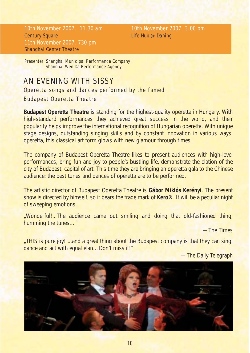10th November 2007, 11.30 am 10th November 2007, 3.00 pm **Century Square Century Square Life Hub @ Daning** 11th November 2007, 730 pm Shanghai Center Theatre

Presenter: Shanghai Municipal Performance Company Shanghai Wen Da Performance Agency

### *AN EVENING WITH SISSY*

Operetta songs and dances performed by the famed

#### Budapest Operetta Theatre

**Budapest Operetta Theatre** is standing for the highest-quality operetta in Hungary. With high-standard performances they achieved great success in the world, and their popularity helps improve the international recognition of Hungarian operetta. With unique stage designs, outstanding singing skills and by constant innovation in various ways, operetta, this classical art form glows with new glamour through times.

The company of Budapest Operetta Theatre likes to present audiences with high-level performances, bring fun and joy to people's bustling life, demonstrate the elation of the city of Budapest, capital of art. This time they are bringing an operetta gala to the Chinese audience: the best tunes and dances of operetta are to be performed.

The artistic director of Budapest Operetta Theatre is **Gábor Miklós Kerényi**. The present show is directed by himself, so it bears the trade mark of **Kero®**. It will be a peculiar night of sweeping emotions.

*"Wonderful!...The audience came out smiling and doing that old-fashioned thing, humming the tunes…"*

—The Time*s*

*"THIS is pure joy! ...and a great thing about the Budapest company is that they can sing, dance and act with equal elan…Don't miss it!"*

—The Daily Telegraph

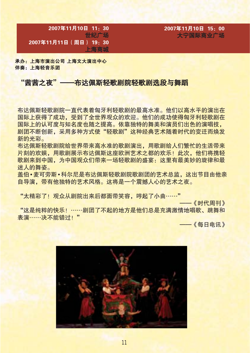2007年11月10日 11: 30 世纪广场 2007年11月11日 (周日) 19: 30 上海商城

2007年11月10日 15:00 大宁国际商业广场

承办: 上海市演出公司 上海文大演出中心 伴奉: 上海轻音乐团

#### "茜茜之夜" ——布达佩斯轻歌剧院轻歌剧选段与舞蹈

布达佩斯轻歌剧院一直代表着匈牙利轻歌剧的最高水准。他们以高水平的演出在 国际上获得了成功,受到了全世界观众的欢迎。他们的成功使得匈牙利轻歌剧在 国际上的认可度与知名度也随之提高。依靠独特的舞美和演员们出色的演唱技。 剧团不断创新,采用多种方式使"轻歌剧"这种经典艺术随着时代的变迁而焕发 新的光彩。

布达佩斯轻歌剧院给世界带来高水准的歌剧演出,用歌剧给人们繁忙的生活带来 片刻的欢娱,用歌剧展示布达佩斯这座欧洲艺术之都的欢乐!此次,他们将携轻 歌剧来到中国, 为中国观众们带来一场轻歌剧的盛宴: 这里有最美妙的旋律和最 迷人的舞姿。

盖伯•麦可劳斯•科尔尼是布达佩斯轻歌剧院歌剧团的艺术总监,这出节目由他亲 自导演,带有他独特的艺术风格。这将是一个震撼人心的艺术之夜。

"太精彩了! 观众从剧院出来后都面带笑容, 哼起了小曲……"

一《时代周刊》 "这是纯粹的快乐! ……剧团了不起的地方是他们总是充满激情地唱歌、跳舞和 表演 …… 决不能错过!"

——《每日电讯》

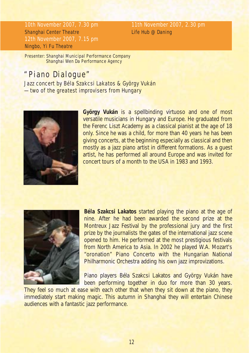10th November 2007, 7.30 pm 11th November 2007, 2.30 pm Shanghai Center Theatre Life Hub @ Daning 12th November 2007, 7.15 pm Ningbo, Yi Fu Theatre

Presenter: Shanghai Municipal Performance Company Shanghai Wen Da Performance Agency

### "Piano Dialogue"

Jazz concert by Béla Szakcsi Lakatos & György Vukán —two of the greatest improvisers from Hungary



**György Vukán** is a spellbinding virtuoso and one of most versatile musicians in Hungary and Europe. He graduated from the Ferenc Liszt Academy as a classical pianist at the age of 18 only. Since he was a child, for more than 40 years he has been giving concerts, at the beginning especially as classical and then mostly as a jazz piano artist in different formations. As a guest artist, he has performed all around Europe and was invited for concert tours of a month to the USA in 1983 and 1993.



**Béla Szakcsi Lakatos** started playing the piano at the age of nine. After he had been awarded the second prize at the Montreux Jazz Festival by the professional jury and the first prize by the journalists the gates of the international jazz scene opened to him. He performed at the most prestigious festivals from North America to Asia. In 2002 he played W.A. Mozart's "oronation" Piano Concerto with the Hungarian National Philharmonic Orchestra adding his own jazz improvizations.

Piano players Béla Szakcsi Lakatos and György Vukán have been performing together in duo for more than 30 years.

They feel so much at ease with each other that when they sit down at the piano, they immediately start making magic. This autumn in Shanghai they will entertain Chinese audiences with a fantastic jazz performance.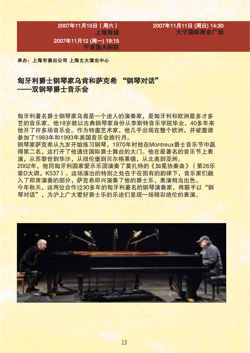2007年11月10日 (周六) 上海商城 2007年11月12 (周一) 19:15 宁波逸夫剧院

2007年11月11日 (周日) 14:30 大宁国际商业广场

承办: 上海市演出公司 上海文大演出中心

### 匈牙利爵士钢琴家乌肯和萨克希 "钢琴对话" ——双钢琴爵十音乐会

匈牙利著名爵士钢琴家乌肯是一个迷人的演奏家,是匈牙利和欧洲最多才多 艺的音乐家。他18岁就以古典钢琴家身份从李斯特音乐学院毕业。40多年来 他开了许多场音乐会。作为特邀艺术家,他几乎出现在整个欧洲,并被邀请 参加了1983年和1993年美国音乐会旅行月。

钢琴家萨克希从九岁开始练习钢琴,1970年时他在Montreux爵十音乐节中赢 得第二名,这打开了他通往国际爵士舞台的大门。他在最著名的音乐节上表 演,从苏黎世到华沙,从纽伦堡到贝尔格莱德,从北美到亚洲。

2002年,他同匈牙利国家爱乐乐团演奏了莫扎特的《加冕协奏曲》(第26乐 章D大调, K537)。这场演出的特别之处在于在固有的韵律下, 音乐家们融 入了即席演奏的部分,萨克希即兴演奏了他的爵十乐,表演相当出色。 今年秋天,这两位合作过30多年的匈牙利著名的钢琴演奏家,将联手以"钢 琴对话",为沪上广大爱好爵士乐的乐迷们呈现一场精彩绝伦的表演。

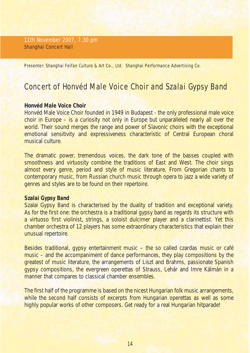11th November 2007, 7.30 pm Shanghai Concert Hall

Presenter: Shanghai Feifan Culture & Art Co., Ltd. Shanghai Performance Advertising Co.

### Concert of Honvéd Male Voice Choir and Szalai Gypsy Band

#### **Honvéd Male Voice Choir**

Honvéd Male Voice Choir founded in 1949 in Budapest - the only professional male voice choir in Europe – is a curiosity not only in Europe but unparalleled nearly all over the world. Their sound merges the range and power of Slavonic choirs with the exceptional emotional sensitivity and expressiveness characteristic of Central European choral musical culture.

The dramatic power, tremendous voices, the dark tone of the basses coupled with smoothness and virtuosity combine the traditions of East and West. The choir sings almost every genre, period and style of music literature. From Gregorian chants to contemporary music, from Russian church music through opera to jazz a wide variety of genres and styles are to be found on their repertoire.

#### **Szalai Gypsy Band**

Szalai Gypsy Band is characterised by the duality of tradition and exceptional variety. As for the first one: the orchestra is a traditional gypsy band as regards its structure with a virtuoso first violinist, strings, a soloist dulcimer player and a clarinettist. Yet this chamber orchestra of 12 players has some extraordinary characteristics that explain their unusual repertoire.

Besides traditional, gypsy entertainment music – the so called czardas music or café music – and the accompaniment of dance performances, they play compositions by the greatest of music literature, the arrangements of Liszt and Brahms, passionate Spanish gypsy compositions, the evergreen operettas of Strauss, Lehár and Imre Kálmán in a manner that compares to classical chamber ensembles.

The first half of the programme is based on the nicest Hungarian folk music arrangements, while the second half consists of excerpts from Hungarian operettas as well as some highly popular works of other composers. Get ready for a real Hungarian hitparade!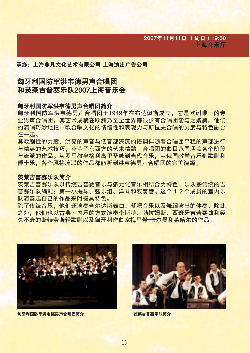#### 承办: 上海非凡文化艺术有限公司 上海演出广告公司

### 匈牙利国防军洪韦德男声合唱团 和茨莱吉普赛乐队2007上海音乐会

#### 匈牙利国防军洪韦德男声合唱团简介

**匈牙利国防军洪韦德男声合唱团于1949年在布达佩斯成立,它是欧洲唯一的专** 业男声合唱团,其艺术成就在欧洲乃至全世界都很少有合唱团能与之媲美。他们 的演唱巧妙地把中欧合唱文化的情绪性和表现力与斯拉夫合唱的力度与特色融合 在一起。

其戏剧性的力度,洪亮的声音与低音部深沉的语调伴随着合唱团平稳的声部进行 与精湛的艺术技巧, 荟萃了东西方的艺术精髓。合唱团的曲目范围涵盖各个阶段 与流派的作品。从罗马教皇格利高里圣咏到当代音乐,从俄国教堂音乐到歌剧和 爵十乐,各个风格流派的作品都能听到洪韦德男声合唱团的完美演绎。

#### 茨莱吉普寨乐队简介

茨莱吉普幂乐以及传统吉普赛音乐与多元化音乐相结合为特色。乐队按传统的吉 普赛乐队编配:第一小提琴、弦乐组、洋琴和双簧管。这个 1 2 个成员的室内乐 队演奏起自己的作品来时极具特色。

除了传统音乐,他们还演奏杳尔达斯舞曲、餐吧音乐以及舞蹈演出的伴奏,除此 之外,他们也以古典室内乐的方式演奏李斯特、勃拉姆斯、西班牙吉普赛曲和经 久不衰的斯特劳斯轻歌剧以及匈牙利作曲家梅里希•卡尔曼和莱哈尔的作品。



匈牙利国防军洪韦德男声合唱团简介 医心房 医心房 医莱吉普赛乐队简介

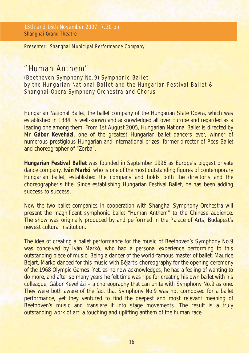15th and 16th November 2007, 7.30 pm Shanghai Grand Theatre

Presenter: Shanghai Municipal Performance Company

### *"Human Anthem"*

(Beethoven Symphony No.9) Symphonic Ballet by the Hungarian National Ballet and the Hungarian Festival Ballet & Shanghai Opera Symphony Orchestra and Chorus

Hungarian National Ballet, the ballet company of the Hungarian State Opera, which was established in 1884, is well-known and acknowledged all over Europe and regarded as a leading one among them. From 1st August 2005, Hungarian National Ballet is directed by Mr **Gábor Keveházi**, one of the greatest Hungarian ballet dancers ever, winner of numerous prestigious Hungarian and international prizes, former director of Pécs Ballet and choreographer of "Zorba".

**Hungarian Festival Ballet** was founded in September 1996 as Europe's biggest private dance company. **Iván Markó**, who is one of the most outstanding figures of contemporary Hungarian ballet, established the company and holds both the director's and the choreographer's title. Since establishing Hungarian Festival Ballet, he has been adding success to success.

Now the two ballet companies in cooperation with Shanghai Symphony Orchestra will present the magnificent symphonic ballet "Human Anthem" to the Chinese audience. The show was originally produced by and performed in the Palace of Arts, Budapest's newest cultural institution.

The idea of creating a ballet performance for the music of Beethoven's Symphony No.9 was conceived by Iván Markó, who had a personal experience performing to this outstanding piece of music. Being a dancer of the world-famous master of ballet, Maurice Béjart, Markó danced for this music with Béjart's choreography for the opening ceremony of the 1968 Olympic Games. Yet, as he now acknowledges, he had a feeling of wanting to do more, and after so many years he felt time was ripe for creating his own ballet with his colleague, Gábor Keveházi – a choreography that can unite with Symphony No.9 as one. They were both aware of the fact that Symphony No.9 was not composed for a ballet performance, yet they ventured to find the deepest and most relevant meaning of Beethoven's music and translate it into stage movements. The result is a truly outstanding work of art: a touching and uplifting anthem of the human race.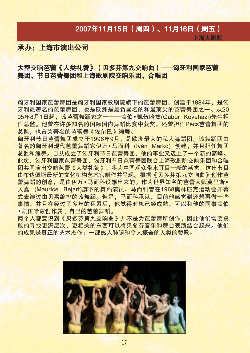### 2007年11月15日 (周四)、11月16日 (周五)

上海大剧院

### 承办: 上海市演出公司

### 大型交响芭蕾《人类礼赞》(贝多芬第九交响曲) ——匈牙利国家芭蕾 舞团、节日芭蕾舞团和上海歌剧院交响乐团、合唱团

匈牙利国家芭蕾舞团是匈牙利国家歌剧院旗下的芭蕾舞团,创建于1884年,是匈 牙利最著名的芭蕾舞团,也是欧洲是最负盛名的和最顶尖的芭蕾舞团之一。从20 05年8月1日起,该芭蕾舞蹈家之一——盖伯•凯伍哈兹(Gábor Keveházi)先生担 任总监。他曾在许多知名的国际国内舞蹈比赛中获奖,还曾担任Pécs芭蕾舞团的 总监,也曾为著名的芭蕾舞《佐尔巴》编舞。

匈牙利节日芭蕾舞团成立于1996年9月,是欧洲最大的私人舞蹈团。该舞蹈团由 著名的匈牙利现代芭蕾舞蹈家伊万·马而科 (Iván Markó) 创建, 并且担任舞团 总监和编舞。自从成立了匈牙利节日芭蕾舞团,他的事业又迈上了一个新的高峰。 此次,匈牙利国家芭蕾舞团、匈牙利节日芭蕾舞团联合上海歌剧院交响乐团和合唱 团共同演出交响芭蕾《人类礼赞》,将为中国观众带来耳目一新的感觉。这出节目 由布达佩斯最新的文化机构艺术宫制作并呈现。根据《贝多芬第九交响曲》创作芭 蕾舞蹈的创意,是由伊万•马而科设想出来的。作为世界知名的芭蕾大师草里斯• 贝嘉 (Maurice Bejart)旗下的舞蹈演员, 马而科曾在1968奥林匹克运动会开幕 式表演过由贝嘉编排的该舞蹈。但是,马而科承认,目前他感觉到还想再做一些 事情,并且在经过了多年的积累后,他觉得时机已经成熟,可以和他的同事盖伯 •凯伍哈兹创作属于自己的芭蕾舞蹈。

两个人都意识到《贝多芬第九交响曲》并不是为芭蕾舞所创作,因此他们需要勇 敢的寻找更深层次、更相关的东西可以将贝多芬音乐和舞台表演结合起来。他们 的成果是真正的艺术杰作:一部感人肺腑和今人振奋的人类的赞歌。

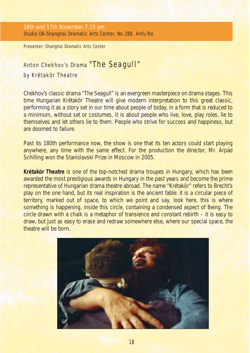Presenter: Shanghai Dramatic Arts Center

### Anton Chekhov's Drama *"The Seagull"*

#### by Krétakör Theatre

Chekhov's classic drama "The Seagull" is an evergreen masterpiece on drama stages. This time Hungarian Krétakör Theatre will give modern interpretation to this great classic, performing it as a story set in our time about people of today, in a form that is reduced to a minimum, without set or costumes. It is about people who live, love, play roles, lie to themselves and let others lie to them. People who strive for success and happiness, but are doomed to failure.

Past its 180th performance now, the show is one that its ten actors could start playing anywhere, any time with the same effect. For the production the director, Mr. Árpád Schilling won the Stanislavski Prize in Moscow in 2005.

**Krétakör Theatre** is one of the top-notched drama troupes in Hungary, which has been awarded the most prestigious awards in Hungary in the past years and become the prime representative of Hungarian drama theatre abroad. The name "Krétakör" refers to Brecht's play on the one hand, but its real inspiration is the ancient fable: it is a circular piece of territory, marked out of space, to which we point and say, look here, this is where something is happening, inside this circle, containing a condensed aspect of Being. The circle drawn with a chalk is a metaphor of transience and constant rebirth – it is easy to draw, but just as easy to erase and redraw somewhere else, where our special space, the theatre will be born.

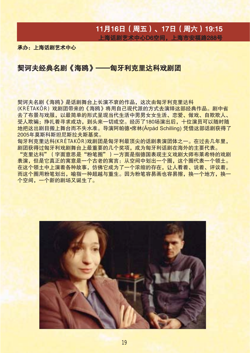### 11月16日 (周五)、17日 (周六) 19:15 上海话剧艺术中心D6空间, 上海市安福路288号

承办: 上海话剧艺术中心

#### 契诃夫经典名剧《海鸥》——匈牙利克里达科戏剧团

契诃夫名剧《海鸥》是话剧舞台上长演不衰的作品,这次由匈牙利克里达科 (KRÉTAKÖR) 戏剧团带来的《海鸥》将用自己现代派的方式去演绎这部经典作品。剧中省 去了布景与戏服,以最简单的形式呈现当代生活中男男女女生活、恋爱、做戏、自欺欺人、 受人欺骗;挣扎着寻求成功,到头来一切成空。经历了180场演出后,十位演员可以随时随 地把这出剧目搬上舞台而不失水准。导演阿帕德•席林(Árpád Schilling) 凭借这部话剧获得了 2005年草斯科斯坦尼斯拉夫斯基奖。

匈牙利克里达科(KRÉTAKÖR)戏剧团是匈牙利最顶尖的话剧表演团体之一。在过去几年里, 剧团获得过匈牙利戏剧舞台上最重要的几个奖项,成为匈牙利话剧在海外的主要代表。

"克里达科"(字面意思是"粉笔圈")一方面是指德国表现主义戏剧大师布莱希特的戏剧 表演,但是它真正的寓意是一个古老的寓言:从空间中划出一个圈,这个圈代表一个领土。 在这个领土中上演着各种故事,仿佛它成为了一个浓缩的存在,让人看着、说着、评议着。 而这个圈用粉笔划出,喻指一种超越与重生。因为粉笔容易画也容易擦,换一个地方,换一 个空间,一个新的剧场又诞生了。

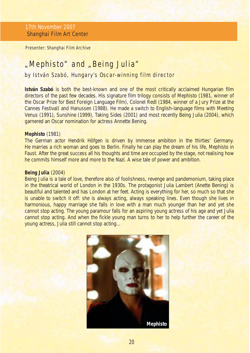17th November 2007 Shanghai Film Art Center

Presenter: Shanghai Film Archive

### *"Mephisto"* and *"Being Julia"*

#### by István Szabó, Hungary's Oscar-winning film director

**István Szabó** is both the best-known and one of the most critically acclaimed Hungarian film directors of the past few decades. His signature film trilogy consists of *Mephisto* (1981, winner of the Oscar Prize for Best Foreign Language Film), *Colonel Redl* (1984, winner of a Jury Prize at the Cannes Festival) and *Hanussen* (1988). He made a switch to English-language films with Meeting *Venus* (1991), *Sunshine* (1999), *Taking Sides* (2001) and most recently *Being Juli*a (2004), which garnered an Oscar nomination for actress Annette Bening.

#### **Mephisto** (1981)

The German actor Hendrik Höfgen is driven by immense ambition in the thirties' Germany. He marries a rich woman and goes to Berlin. Finally he can play the dream of his life, Mephisto in Faust. After the great success all his thoughts and time are occupied by the stage, not realising how he commits himself more and more to the Nazi. A wise tale of power and ambition.

#### **Being Julia** (2004)

Being Julia is a tale of love, therefore also of foolishness, revenge and pandemonium, taking place in the theatrical world of London in the 1930s. The protagonist Julia Lambert (Anette Bening) is beautiful and talented and has London at her feet. Acting is everything for her, so much so that she is unable to switch it off: she is always acting, always speaking lines. Even though she lives in harmonious, happy marriage she falls in love with a man much younger than her and yet she cannot stop acting. The young paramour falls for an aspiring young actress of his age and yet Julia cannot stop acting. And when the fickle young man turns to her to help further the career of the young actress, Julia still cannot stop acting...

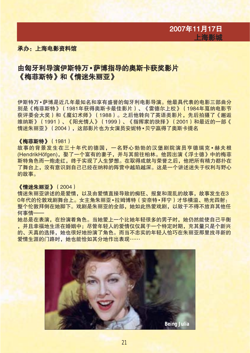

#### 承办· 上海电影资料馆

### 由匈牙利导演伊斯特万·萨博指导的奥斯卡获奖影片 《梅菲斯特》和《情迷朱丽亚》

伊斯特万•萨博是近几年最知名和享有盛誉的匈牙利电影导演。他最具代表的电影三部曲分 别是《梅菲斯特》(1981年获得奥斯卡最佳影片)、《雷德尔上校》(1984年戛纳电影节 获评委会大奖)和《魔幻术师》(1988)。之后他转向了英语类影片,先后拍摄了《澥逅 维纳斯》(1991)、《阳光情人》(1999)、《指挥家的抉择》(2001)和最近的一部《 情迷朱丽亚》(2004), 这部影片也为女演员安妮特•贝宁赢得了奥斯卡提名

#### 《梅菲斯特》 (1981)

故事的背景发生在三十年代的德国,一名野心勃勃的汉堡剧院演员亨德瑞克•赫夫根 (HendrikHöfgen), 娶了一个富有的妻子, 并与其前往柏林。他因出演《浮士德》中的梅菲 斯特角色而一炮走红,终于实现了人生梦想。在取得成就与荣誉之后,他把所有精力都扑在 了舞台上,没有意识到自己已经在纳粹的阵营中越陷越深。这是一个讲述迷失于权利与野心 的故事。

#### 《情迷朱丽亚》 (2004)

情迷朱丽亚讲述的是爱情,以及由爱情直接导致的痴狂、报复和混乱的故事,故事发生在3 0年代的伦敦戏剧舞台上。女主角朱丽亚•拉姆博特(安奈特•拜宁)才华横溢、艳光四射: 整个伦敦拜倒在她脚下。戏剧是朱丽亚的全部,她如此热爱戏剧,以致于不得不放弃其他任 何事情 --

她总是在表演,在扮演着角色。当她爱上一个比她年轻很多的男子时,她仍然能使自己平衡 ,并且幸福地生活在婚姻中;尽管年轻人的爱情仅仅属于一个特定时期,充其量只是个新兴 的、天真的选择,她也很好地扮演了角色。而当不忠实的年轻人恰巧在朱丽亚那里找寻新的 爱情生涯的门路时,她也能恰如其分地作出表现……

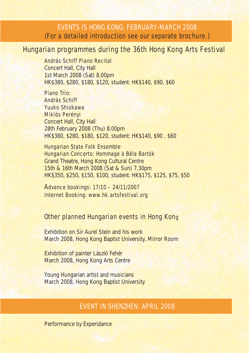### EVENTS IS HONG KONG: FEBRUARY-MARCH 2008 (For a detailed introduction see our separate brochure.)

### Hungarian programmes during the 36th Hong Kong Arts Festival

András Schiff Piano Recital Concert Hall, City Hall 1st March 2008 (Sat) 8.00pm HK\$380, \$280, \$180, \$120, student: HK\$140, \$90, \$60

Piano Trio: András Schiff Yuuko Shiokawa Miklós Perényi Concert Hall, City Hall 28th February 2008 (Thu) 8.00pm HK\$380, \$280, \$180, \$120, student: HK\$140, \$90 , \$60

Hungarian State Folk Ensemble Hungarian Concerto: Hommage à Béla Bartók Grand Theatre, Hong Kong Cultural Centre 15th & 16th March 2008 (Sat & Sun) 7.30pm HK\$350, \$250, \$150, \$100, student: HK\$175, \$125, \$75, \$50

Advance bookings: 17/10 – 24/11/2007 Internet Booking: www.hk.artsfestival.org

#### Other planned Hungarian events in Hong Kong

Exhibition on Sir Aurel Stein and his work March 2008, Hong Kong Baptist University, Mirror Room

Exhibition of painter László Fehér March 2008, Hong Kong Arts Centre

Young Hungarian artist and musicians March 2008, Hong Kong Baptist University

#### EVENT IN SHENZHEN: APRIL 2008

Performance by Experidance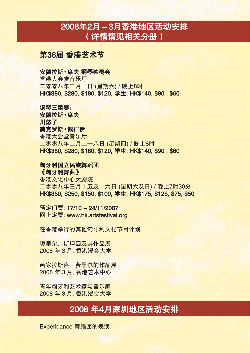## 2008年2月-3月香港地区活动安排 (详情请见相关分册)

第36届 香港艺术节

#### 安德拉斯·席夫 钢琴独奏会

香港大会堂音乐厅 二零零八年三月一日 (星期六) / 晚上8时 HK\$380, \$280, \$180, \$120, 学生; HK\$140, \$90, \$60

#### 钢琴三重奏:

安德拉斯·席夫 川悠子 美克罗斯·佩仁伊 香港大会堂音乐厅 二零零八年二月二十八日 (星期四) / 晚上8时 HK\$380, \$280, \$180, \$120, 学生: HK\$140, \$90, \$60

#### 匈牙利国立民族舞蹈团

《匈牙利舞曲》 香港文化中心大剧院 二零零八年三月十五及十六日 (星期六及日) / 晚上7时30分 HK\$350, \$250, \$150, \$100, 学生: HK\$175, \$125, \$75, \$50

预定门票: 17/10 - 24/11/2007 5票: www.hk.artsfestival.org

在香港举行的其他匈牙利文化节目计划

奥里尔, 斯坦因及其作品展 2008 年 3 月, 香港浸会大学

画家拉斯洛,费黑尔的作品展 2008年3月, 香港艺术中心

青年匈牙利艺术家与音乐家 2008 年3月, 香港浸会大学

### 2008年4月深圳地区活动安排

Experidance 舞蹈团的表演